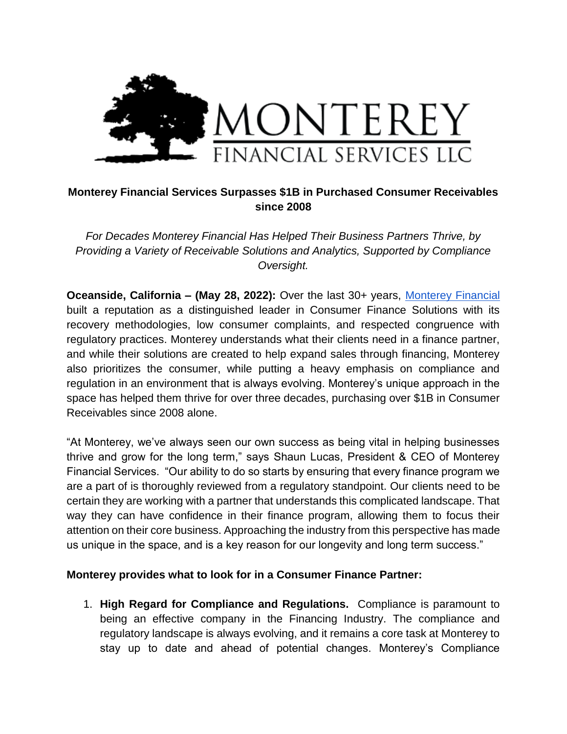

## **Monterey Financial Services Surpasses \$1B in Purchased Consumer Receivables since 2008**

*For Decades Monterey Financial Has Helped Their Business Partners Thrive, by Providing a Variety of Receivable Solutions and Analytics, Supported by Compliance Oversight.* 

**Oceanside, California – (May 28, 2022):** Over the last 30+ years, Monterey Financial built a reputation as a distinguished leader in Consumer Finance Solutions with its recovery methodologies, low consumer complaints, and respected congruence with regulatory practices. Monterey understands what their clients need in a finance partner, and while their solutions are created to help expand sales through financing, Monterey also prioritizes the consumer, while putting a heavy emphasis on compliance and regulation in an environment that is always evolving. Monterey's unique approach in the space has helped them thrive for over three decades, purchasing over \$1B in Consumer Receivables since 2008 alone.

"At Monterey, we've always seen our own success as being vital in helping businesses thrive and grow for the long term," says Shaun Lucas, President & CEO of Monterey Financial Services. "Our ability to do so starts by ensuring that every finance program we are a part of is thoroughly reviewed from a regulatory standpoint. Our clients need to be certain they are working with a partner that understands this complicated landscape. That way they can have confidence in their finance program, allowing them to focus their attention on their core business. Approaching the industry from this perspective has made us unique in the space, and is a key reason for our longevity and long term success."

## **Monterey provides what to look for in a Consumer Finance Partner:**

1. **High Regard for Compliance and Regulations.** Compliance is paramount to being an effective company in the Financing Industry. The compliance and regulatory landscape is always evolving, and it remains a core task at Monterey to stay up to date and ahead of potential changes. Monterey's Compliance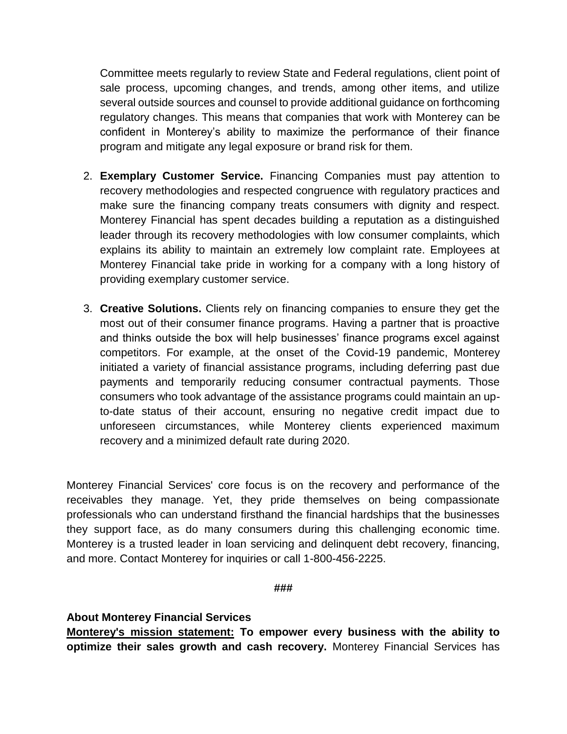Committee meets regularly to review State and Federal regulations, client point of sale process, upcoming changes, and trends, among other items, and utilize several outside sources and counsel to provide additional guidance on forthcoming regulatory changes. This means that companies that work with Monterey can be confident in Monterey's ability to maximize the performance of their finance program and mitigate any legal exposure or brand risk for them.

- 2. **Exemplary Customer Service.** Financing Companies must pay attention to recovery methodologies and respected congruence with regulatory practices and make sure the financing company treats consumers with dignity and respect. Monterey Financial has spent decades building a reputation as a distinguished leader through its recovery methodologies with low consumer complaints, which explains its ability to maintain an extremely low complaint rate. Employees at Monterey Financial take pride in working for a company with a long history of providing exemplary customer service.
- 3. **Creative Solutions.** Clients rely on financing companies to ensure they get the most out of their consumer finance programs. Having a partner that is proactive and thinks outside the box will help businesses' finance programs excel against competitors. For example, at the onset of the Covid-19 pandemic, Monterey initiated a variety of financial assistance programs, including deferring past due payments and temporarily reducing consumer contractual payments. Those consumers who took advantage of the assistance programs could maintain an upto-date status of their account, ensuring no negative credit impact due to unforeseen circumstances, while Monterey clients experienced maximum recovery and a minimized default rate during 2020.

Monterey Financial Services' core focus is on the recovery and performance of the receivables they manage. Yet, they pride themselves on being compassionate professionals who can understand firsthand the financial hardships that the businesses they support face, as do many consumers during this challenging economic time. Monterey is a trusted leader in loan servicing and delinquent debt recovery, financing, and more. Contact Monterey for inquiries or call 1-800-456-2225.

## **###**

## **About Monterey Financial Services**

**Monterey's mission statement: To empower every business with the ability to optimize their sales growth and cash recovery.** Monterey Financial Services has